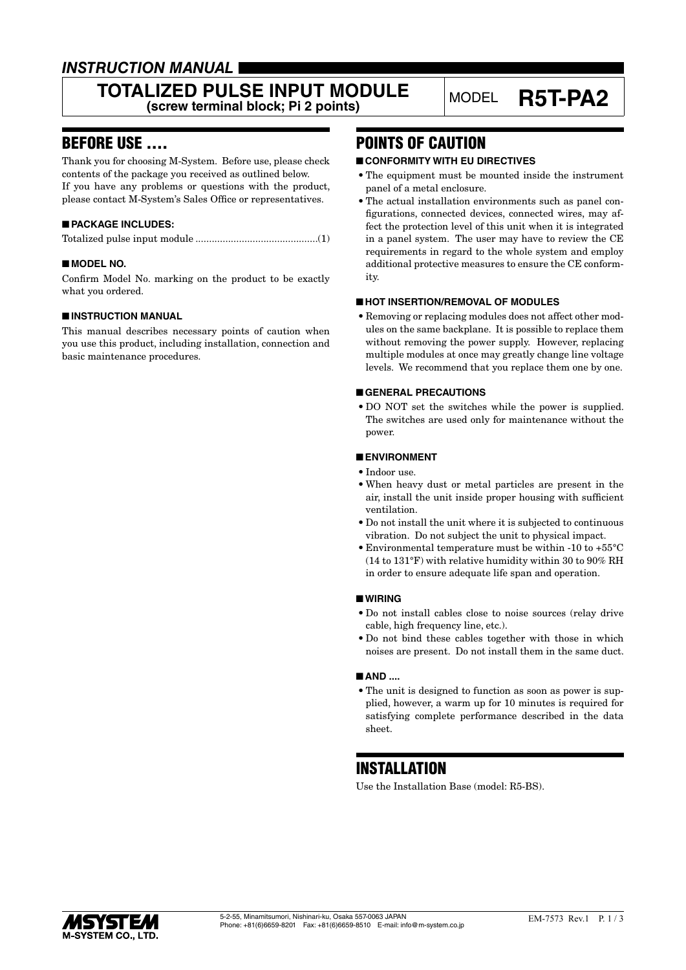# *INSTRUCTION MANUAL*

### **TOTALIZED PULSE INPUT MODULE LIZED PULSE INPUT MODULE** MODEL **R5T-PA2**<br>(screw terminal block; Pi 2 points)

### BEFORE USE ....

Thank you for choosing M-System. Before use, please check contents of the package you received as outlined below. If you have any problems or questions with the product, please contact M-System's Sales Office or representatives.

### ■ **PACKAGE INCLUDES:**

|--|

### ■ **MODEL NO.**

Confirm Model No. marking on the product to be exactly what you ordered.

#### ■ **INSTRUCTION MANUAL**

This manual describes necessary points of caution when you use this product, including installation, connection and basic maintenance procedures.

### POINTS OF CAUTION

#### ■ **CONFORMITY WITH EU DIRECTIVES**

- The equipment must be mounted inside the instrument panel of a metal enclosure.
- The actual installation environments such as panel configurations, connected devices, connected wires, may affect the protection level of this unit when it is integrated in a panel system. The user may have to review the CE requirements in regard to the whole system and employ additional protective measures to ensure the CE conformity.

#### ■ **HOT INSERTION/REMOVAL OF MODULES**

• Removing or replacing modules does not affect other modules on the same backplane. It is possible to replace them without removing the power supply. However, replacing multiple modules at once may greatly change line voltage levels. We recommend that you replace them one by one.

#### ■ **GENERAL PRECAUTIONS**

• DO NOT set the switches while the power is supplied. The switches are used only for maintenance without the power.

#### ■ **ENVIRONMENT**

- Indoor use.
- When heavy dust or metal particles are present in the air, install the unit inside proper housing with sufficient ventilation.
- Do not install the unit where it is subjected to continuous vibration. Do not subject the unit to physical impact.
- Environmental temperature must be within -10 to +55°C (14 to 131°F) with relative humidity within 30 to 90% RH in order to ensure adequate life span and operation.

#### ■ **WIRING**

- Do not install cables close to noise sources (relay drive cable, high frequency line, etc.).
- Do not bind these cables together with those in which noises are present. Do not install them in the same duct.

#### ■ **AND** ....

• The unit is designed to function as soon as power is supplied, however, a warm up for 10 minutes is required for satisfying complete performance described in the data sheet.

### INSTALLATION

Use the Installation Base (model: R5-BS).

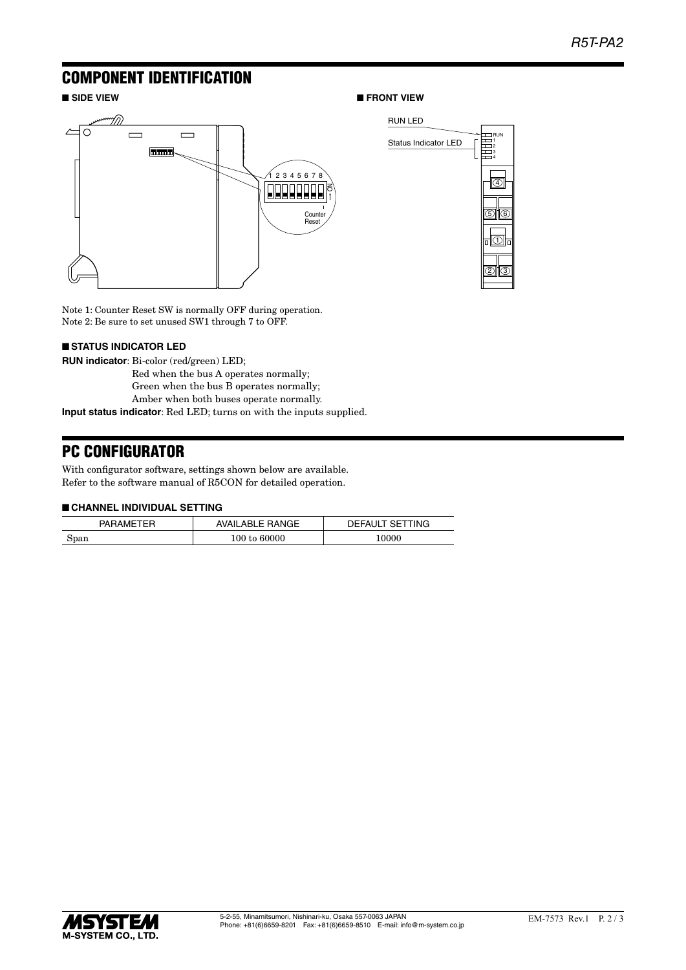RUN

Status Indicator LED

RUN LED

4

2)||(3

1

5) 1 6

### COMPONENT IDENTIFICATION

### ■ SIDE VIEW ■<br>■ FRONT VIEW



Counter Reset SW is normally OFF during operation. Note 1: Counter Reset SW is normally OFF during operation. Note 2: Be sure to set unused SW1 through 7 to OFF.

### ■ **STATUS INDICATOR LED**

**RUN indicator**: Bi-color (red/green) LED;

- Red when the bus A operates normally;
- Green when the bus B operates normally;
- Amber when both buses operate normally.

**Input status indicator**: Red LED; turns on with the inputs supplied.

# PC CONFIGURATOR

With configurator software, settings shown below are available. Refer to the software manual of R5CON for detailed operation.

#### ■ **CHANNEL INDIVIDUAL SETTING**

| PARAMETER | <b>AVAILABLE RANGE</b> | DEFAULT SETTING |
|-----------|------------------------|-----------------|
| Span      | 100 to 60000           | 0000            |